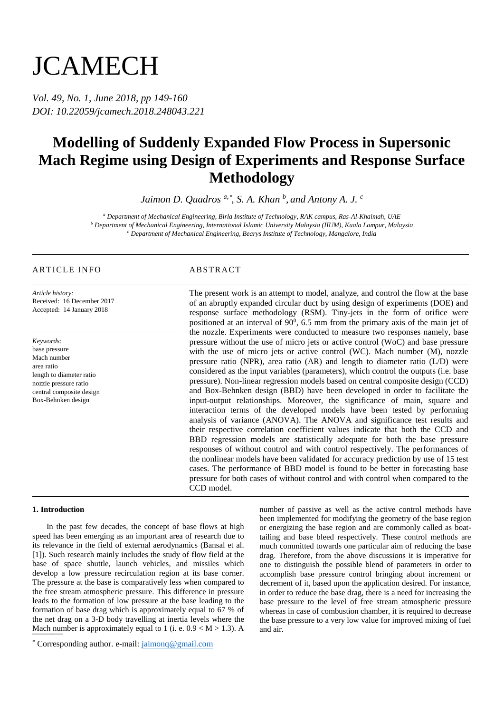# **JCAMECH**

*Vol. 49, No. 1, June 2018, pp 149-160 DOI: 10.22059/jcamech.2018.248043.221*

## **Modelling of Suddenly Expanded Flow Process in Supersonic Mach Regime using Design of Experiments and Response Surface Methodology**

*Jaimon D. Quadros a,*\* *, S. A. Khan <sup>b</sup> , and Antony A. J. <sup>c</sup>*

*<sup>a</sup> Department of Mechanical Engineering, Birla Institute of Technology, RAK campus, Ras-Al-Khaimah, UAE <sup>b</sup> Department of Mechanical Engineering, International Islamic University Malaysia (IIUM), Kuala Lampur, Malaysia <sup>c</sup> Department of Mechanical Engineering, Bearys Institute of Technology, Mangalore, India*

#### ARTICLE INFO ABSTRACT

*Article history:* Received: 16 December 2017 Accepted: 14 January 2018

*Keywords:* base pressure Mach number area ratio length to diameter ratio nozzle pressure ratio central composite design Box-Behnken design

The present work is an attempt to model, analyze, and control the flow at the base of an abruptly expanded circular duct by using design of experiments (DOE) and response surface methodology (RSM). Tiny-jets in the form of orifice were positioned at an interval of  $90^0$ , 6.5 mm from the primary axis of the main jet of the nozzle. Experiments were conducted to measure two responses namely, base pressure without the use of micro jets or active control (WoC) and base pressure with the use of micro jets or active control (WC). Mach number (M), nozzle pressure ratio (NPR), area ratio (AR) and length to diameter ratio (L/D) were considered as the input variables (parameters), which control the outputs (i.e. base pressure). Non-linear regression models based on central composite design (CCD) and Box-Behnken design (BBD) have been developed in order to facilitate the input-output relationships. Moreover, the significance of main, square and interaction terms of the developed models have been tested by performing analysis of variance (ANOVA). The ANOVA and significance test results and their respective correlation coefficient values indicate that both the CCD and BBD regression models are statistically adequate for both the base pressure responses of without control and with control respectively. The performances of the nonlinear models have been validated for accuracy prediction by use of 15 test cases. The performance of BBD model is found to be better in forecasting base pressure for both cases of without control and with control when compared to the CCD model.

#### **1. Introduction**

Mach number is approximately equal to 1 (i. e.  $0.9 < M > 1.3$ ). A In the past few decades, the concept of base flows at high speed has been emerging as an important area of research due to its relevance in the field of external aerodynamics (Bansal et al. [1]). Such research mainly includes the study of flow field at the base of space shuttle, launch vehicles, and missiles which develop a low pressure recirculation region at its base corner. The pressure at the base is comparatively less when compared to the free stream atmospheric pressure. This difference in pressure leads to the formation of low pressure at the base leading to the formation of base drag which is approximately equal to 67 % of the net drag on a 3-D body travelling at inertia levels where the number of passive as well as the active control methods have been implemented for modifying the geometry of the base region or energizing the base region and are commonly called as boattailing and base bleed respectively. These control methods are much committed towards one particular aim of reducing the base drag. Therefore, from the above discussions it is imperative for one to distinguish the possible blend of parameters in order to accomplish base pressure control bringing about increment or decrement of it, based upon the application desired. For instance, in order to reduce the base drag, there is a need for increasing the base pressure to the level of free stream atmospheric pressure whereas in case of combustion chamber, it is required to decrease the base pressure to a very low value for improved mixing of fuel and air.

<sup>\*</sup> Corresponding author. e-mail: jaimonq@gmail.com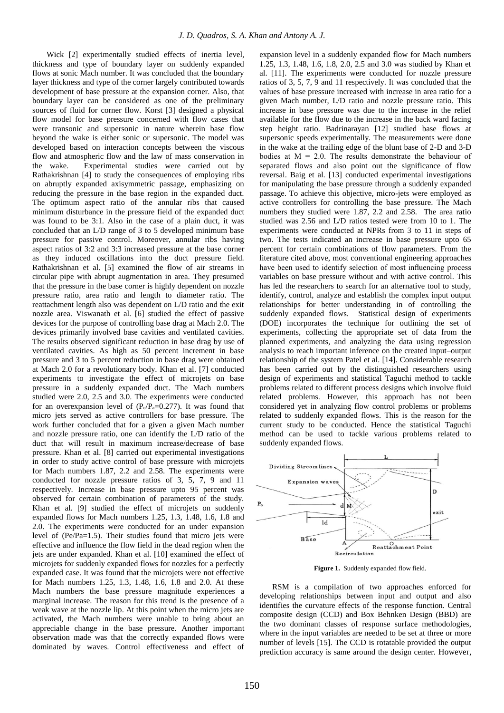Wick [2] experimentally studied effects of inertia level, thickness and type of boundary layer on suddenly expanded flows at sonic Mach number. It was concluded that the boundary layer thickness and type of the corner largely contributed towards development of base pressure at the expansion corner. Also, that boundary layer can be considered as one of the preliminary sources of fluid for corner flow. Korst [3] designed a physical flow model for base pressure concerned with flow cases that were transonic and supersonic in nature wherein base flow beyond the wake is either sonic or supersonic. The model was developed based on interaction concepts between the viscous flow and atmospheric flow and the law of mass conservation in the wake. Experimental studies were carried out by Rathakrishnan [4] to study the consequences of employing ribs on abruptly expanded axisymmetric passage, emphasizing on reducing the pressure in the base region in the expanded duct. The optimum aspect ratio of the annular ribs that caused minimum disturbance in the pressure field of the expanded duct was found to be 3:1. Also in the case of a plain duct, it was concluded that an L/D range of 3 to 5 developed minimum base pressure for passive control. Moreover, annular ribs having aspect ratios of 3:2 and 3:3 increased pressure at the base corner as they induced oscillations into the duct pressure field. Rathakrishnan et al. [5] examined the flow of air streams in circular pipe with abrupt augmentation in area. They presumed that the pressure in the base corner is highly dependent on nozzle pressure ratio, area ratio and length to diameter ratio. The reattachment length also was dependent on L/D ratio and the exit nozzle area. Viswanath et al. [6] studied the effect of passive devices for the purpose of controlling base drag at Mach 2.0. The devices primarily involved base cavities and ventilated cavities. The results observed significant reduction in base drag by use of ventilated cavities. As high as 50 percent increment in base pressure and 3 to 5 percent reduction in base drag were obtained at Mach 2.0 for a revolutionary body. Khan et al. [7] conducted experiments to investigate the effect of microjets on base pressure in a suddenly expanded duct. The Mach numbers studied were 2.0, 2.5 and 3.0. The experiments were conducted for an overexpansion level of  $(P_e/P_a=0.277)$ . It was found that micro jets served as active controllers for base pressure. The work further concluded that for a given a given Mach number and nozzle pressure ratio, one can identify the L/D ratio of the duct that will result in maximum increase/decrease of base pressure. Khan et al. [8] carried out experimental investigations in order to study active control of base pressure with microjets for Mach numbers 1.87, 2.2 and 2.58. The experiments were conducted for nozzle pressure ratios of 3, 5, 7, 9 and 11 respectively. Increase in base pressure upto 95 percent was observed for certain combination of parameters of the study. Khan et al. [9] studied the effect of microjets on suddenly expanded flows for Mach numbers 1.25, 1.3, 1.48, 1.6, 1.8 and 2.0. The experiments were conducted for an under expansion level of (Pe/Pa=1.5). Their studies found that micro jets were effective and influence the flow field in the dead region when the jets are under expanded. Khan et al. [10] examined the effect of microjets for suddenly expanded flows for nozzles for a perfectly expanded case. It was found that the microjets were not effective for Mach numbers 1.25, 1.3, 1.48, 1.6, 1.8 and 2.0. At these Mach numbers the base pressure magnitude experiences a marginal increase. The reason for this trend is the presence of a weak wave at the nozzle lip. At this point when the micro jets are activated, the Mach numbers were unable to bring about an appreciable change in the base pressure. Another important observation made was that the correctly expanded flows were dominated by waves. Control effectiveness and effect of

expansion level in a suddenly expanded flow for Mach numbers 1.25, 1.3, 1.48, 1.6, 1.8, 2.0, 2.5 and 3.0 was studied by Khan et al. [11]. The experiments were conducted for nozzle pressure ratios of 3, 5, 7, 9 and 11 respectively. It was concluded that the values of base pressure increased with increase in area ratio for a given Mach number, L/D ratio and nozzle pressure ratio. This increase in base pressure was due to the increase in the relief available for the flow due to the increase in the back ward facing step height ratio. Badrinarayan [12] studied base flows at supersonic speeds experimentally. The measurements were done in the wake at the trailing edge of the blunt base of 2-D and 3-D bodies at  $M = 2.0$ . The results demonstrate the behaviour of separated flows and also point out the significance of flow reversal. Baig et al. [13] conducted experimental investigations for manipulating the base pressure through a suddenly expanded passage. To achieve this objective, micro-jets were employed as active controllers for controlling the base pressure. The Mach numbers they studied were 1.87, 2.2 and 2.58. The area ratio studied was 2.56 and L/D ratios tested were from 10 to 1. The experiments were conducted at NPRs from 3 to 11 in steps of two. The tests indicated an increase in base pressure upto 65 percent for certain combinations of flow parameters. From the literature cited above, most conventional engineering approaches have been used to identify selection of most influencing process variables on base pressure without and with active control. This has led the researchers to search for an alternative tool to study, identify, control, analyze and establish the complex input output relationships for better understanding in of controlling the suddenly expanded flows. Statistical design of experiments (DOE) incorporates the technique for outlining the set of experiments, collecting the appropriate set of data from the planned experiments, and analyzing the data using regression analysis to reach important inference on the created input–output relationship of the system Patel et al. [14]. Considerable research has been carried out by the distinguished researchers using design of experiments and statistical Taguchi method to tackle problems related to different process designs which involve fluid related problems. However, this approach has not been considered yet in analyzing flow control problems or problems related to suddenly expanded flows. This is the reason for the current study to be conducted. Hence the statistical Taguchi method can be used to tackle various problems related to suddenly expanded flows.



Figure 1. Suddenly expanded flow field.

RSM is a compilation of two approaches enforced for developing relationships between input and output and also identifies the curvature effects of the response function. Central composite design (CCD) and Box Behnken Design (BBD) are the two dominant classes of response surface methodologies, where in the input variables are needed to be set at three or more number of levels [15]. The CCD is rotatable provided the output prediction accuracy is same around the design center. However,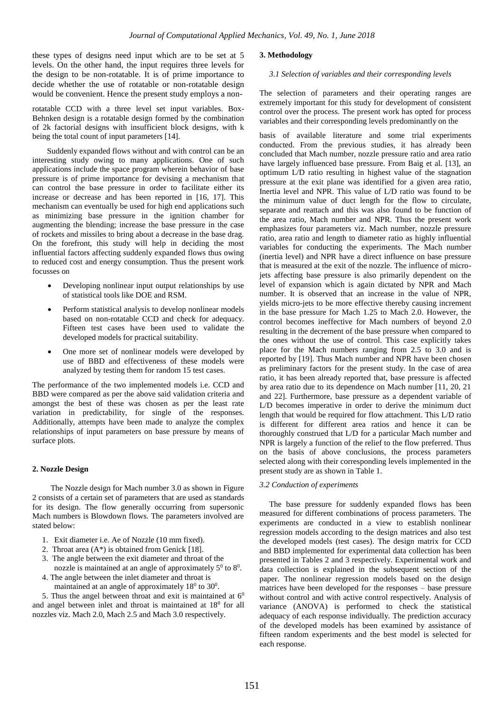these types of designs need input which are to be set at 5 levels. On the other hand, the input requires three levels for the design to be non-rotatable. It is of prime importance to decide whether the use of rotatable or non-rotatable design would be convenient. Hence the present study employs a non-

rotatable CCD with a three level set input variables. Box-Behnken design is a rotatable design formed by the combination of 2k factorial designs with insufficient block designs, with k being the total count of input parameters [14].

Suddenly expanded flows without and with control can be an interesting study owing to many applications. One of such applications include the space program wherein behavior of base pressure is of prime importance for devising a mechanism that can control the base pressure in order to facilitate either its increase or decrease and has been reported in [16, 17]. This mechanism can eventually be used for high end applications such as minimizing base pressure in the ignition chamber for augmenting the blending; increase the base pressure in the case of rockets and missiles to bring about a decrease in the base drag. On the forefront, this study will help in deciding the most influential factors affecting suddenly expanded flows thus owing to reduced cost and energy consumption. Thus the present work focusses on

- Developing nonlinear input output relationships by use of statistical tools like DOE and RSM.
- Perform statistical analysis to develop nonlinear models based on non-rotatable CCD and check for adequacy. Fifteen test cases have been used to validate the developed models for practical suitability.
- One more set of nonlinear models were developed by use of BBD and effectiveness of these models were analyzed by testing them for random 15 test cases.

The performance of the two implemented models i.e. CCD and BBD were compared as per the above said validation criteria and amongst the best of these was chosen as per the least rate variation in predictability, for single of the responses. Additionally, attempts have been made to analyze the complex relationships of input parameters on base pressure by means of surface plots.

#### **2. Nozzle Design**

 The Nozzle design for Mach number 3.0 as shown in Figure 2 consists of a certain set of parameters that are used as standards for its design. The flow generally occurring from supersonic Mach numbers is Blowdown flows. The parameters involved are stated below:

- 1. Exit diameter i.e. Ae of Nozzle (10 mm fixed).
- 2. Throat area (A\*) is obtained from Genick [18].
- 3. The angle between the exit diameter and throat of the nozzle is maintained at an angle of approximately  $5^{\circ}$  to  $8^{\circ}$ .
- 4. The angle between the inlet diameter and throat is maintained at an angle of approximately  $18^{\circ}$  to  $30^{\circ}$ .

5. Thus the angel between throat and exit is maintained at  $6<sup>0</sup>$ and angel between inlet and throat is maintained at  $18<sup>0</sup>$  for all nozzles viz. Mach 2.0, Mach 2.5 and Mach 3.0 respectively.

#### **3. Methodology**

#### *3.1 Selection of variables and their corresponding levels*

The selection of parameters and their operating ranges are extremely important for this study for development of consistent control over the process. The present work has opted for process variables and their corresponding levels predominantly on the

basis of available literature and some trial experiments conducted. From the previous studies, it has already been concluded that Mach number, nozzle pressure ratio and area ratio have largely influenced base pressure. From Baig et al. [13], an optimum L/D ratio resulting in highest value of the stagnation pressure at the exit plane was identified for a given area ratio, Inertia level and NPR. This value of L/D ratio was found to be the minimum value of duct length for the flow to circulate, separate and reattach and this was also found to be function of the area ratio, Mach number and NPR. Thus the present work emphasizes four parameters viz. Mach number, nozzle pressure ratio, area ratio and length to diameter ratio as highly influential variables for conducting the experiments. The Mach number (inertia level) and NPR have a direct influence on base pressure that is measured at the exit of the nozzle. The influence of microjets affecting base pressure is also primarily dependent on the level of expansion which is again dictated by NPR and Mach number. It is observed that an increase in the value of NPR, yields micro-jets to be more effective thereby causing increment in the base pressure for Mach 1.25 to Mach 2.0. However, the control becomes ineffective for Mach numbers of beyond 2.0 resulting in the decrement of the base pressure when compared to the ones without the use of control. This case explicitly takes place for the Mach numbers ranging from 2.5 to 3.0 and is reported by [19]. Thus Mach number and NPR have been chosen as preliminary factors for the present study. In the case of area ratio, it has been already reported that, base pressure is affected by area ratio due to its dependence on Mach number [11, 20, 21 and 22]. Furthermore, base pressure as a dependent variable of L/D becomes imperative in order to derive the minimum duct length that would be required for flow attachment. This L/D ratio is different for different area ratios and hence it can be thoroughly construed that L/D for a particular Mach number and NPR is largely a function of the relief to the flow preferred. Thus on the basis of above conclusions, the process parameters selected along with their corresponding levels implemented in the present study are as shown in Table 1.

#### *3.2 Conduction of experiments*

The base pressure for suddenly expanded flows has been measured for different combinations of process parameters. The experiments are conducted in a view to establish nonlinear regression models according to the design matrices and also test the developed models (test cases). The design matrix for CCD and BBD implemented for experimental data collection has been presented in Tables 2 and 3 respectively. Experimental work and data collection is explained in the subsequent section of the paper. The nonlinear regression models based on the design matrices have been developed for the responses – base pressure without control and with active control respectively. Analysis of variance (ANOVA) is performed to check the statistical adequacy of each response individually. The prediction accuracy of the developed models has been examined by assistance of fifteen random experiments and the best model is selected for each response.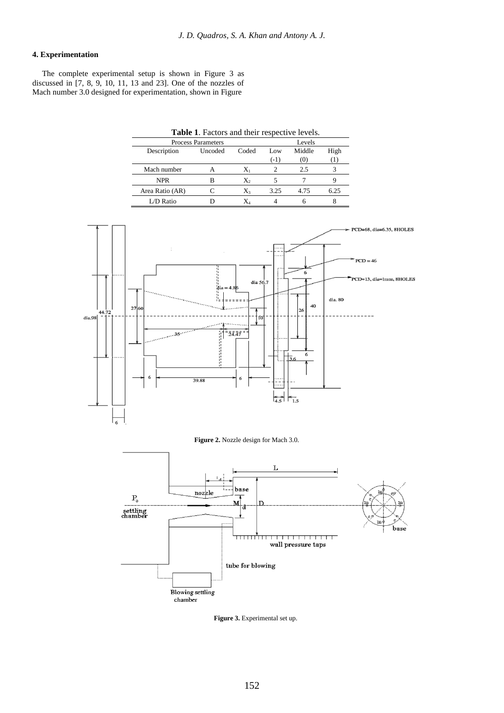### **4. Experimentation**

The complete experimental setup is shown in Figure 3 as discussed in [7, 8, 9, 10, 11, 13 and 23]. One of the nozzles of Mach number 3.0 designed for experimentation, shown in Figure

| Table 1. Factors and their respective levels. |                           |       |        |        |      |  |  |  |
|-----------------------------------------------|---------------------------|-------|--------|--------|------|--|--|--|
|                                               | <b>Process Parameters</b> |       |        | Levels |      |  |  |  |
| Description                                   | Uncoded                   | Coded | Low    | Middle | High |  |  |  |
|                                               |                           |       | $(-1)$ | (0)    |      |  |  |  |
| Mach number                                   | A                         | Xı    |        | 2.5    |      |  |  |  |
| <b>NPR</b>                                    | в                         | Χ,    |        |        |      |  |  |  |
| Area Ratio (AR)                               |                           | $X_3$ | 3.25   | 4.75   | 6.25 |  |  |  |
| L/D Ratio                                     |                           |       |        | h      |      |  |  |  |



**Figure 3.** Experimental set up.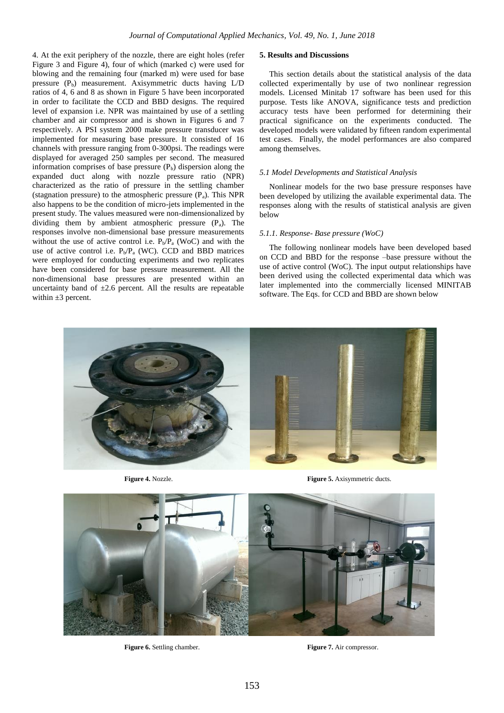4. At the exit periphery of the nozzle, there are eight holes (refer Figure 3 and Figure 4), four of which (marked c) were used for blowing and the remaining four (marked m) were used for base pressure  $(P_b)$  measurement. Axisymmetric ducts having  $L/D$ ratios of 4, 6 and 8 as shown in Figure 5 have been incorporated in order to facilitate the CCD and BBD designs. The required level of expansion i.e. NPR was maintained by use of a settling chamber and air compressor and is shown in Figures 6 and 7 respectively. A PSI system 2000 make pressure transducer was implemented for measuring base pressure. It consisted of 16 channels with pressure ranging from 0-300psi. The readings were displayed for averaged 250 samples per second. The measured information comprises of base pressure  $(P_b)$  dispersion along the expanded duct along with nozzle pressure ratio (NPR) characterized as the ratio of pressure in the settling chamber (stagnation pressure) to the atmospheric pressure  $(P_a)$ . This NPR also happens to be the condition of micro-jets implemented in the present study. The values measured were non-dimensionalized by dividing them by ambient atmospheric pressure  $(P_a)$ . The responses involve non-dimensional base pressure measurements without the use of active control i.e.  $P_b/P_a$  (WoC) and with the use of active control i.e.  $P_b/P_a$  (WC). CCD and BBD matrices were employed for conducting experiments and two replicates have been considered for base pressure measurement. All the non-dimensional base pressures are presented within an uncertainty band of  $\pm 2.6$  percent. All the results are repeatable within  $\pm 3$  percent.

#### **5. Results and Discussions**

This section details about the statistical analysis of the data collected experimentally by use of two nonlinear regression models. Licensed Minitab 17 software has been used for this purpose. Tests like ANOVA, significance tests and prediction accuracy tests have been performed for determining their practical significance on the experiments conducted. The developed models were validated by fifteen random experimental test cases. Finally, the model performances are also compared among themselves.

#### *5.1 Model Developments and Statistical Analysis*

Nonlinear models for the two base pressure responses have been developed by utilizing the available experimental data. The responses along with the results of statistical analysis are given below

#### *5.1.1. Response- Base pressure (WoC)*

The following nonlinear models have been developed based on CCD and BBD for the response –base pressure without the use of active control (WoC). The input output relationships have been derived using the collected experimental data which was later implemented into the commercially licensed MINITAB software. The Eqs. for CCD and BBD are shown below



**Figure 4.** Nozzle. **Figure 5.** Axisymmetric ducts.



**Figure 6.** Settling chamber. **Figure 7.** Air compressor.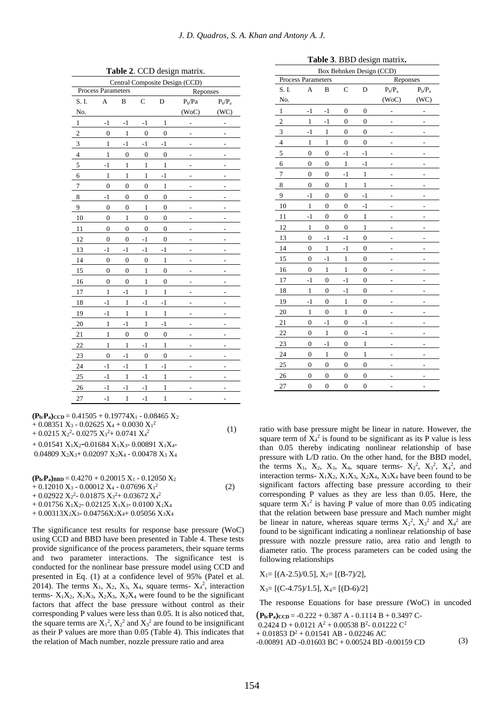| $2D$ ac $35n$ matrix.          |                           |                  |                  |                  |                |                |  |  |  |  |
|--------------------------------|---------------------------|------------------|------------------|------------------|----------------|----------------|--|--|--|--|
| Central Composite Design (CCD) |                           |                  |                  |                  |                |                |  |  |  |  |
|                                | <b>Process Parameters</b> |                  |                  |                  | Reponses       |                |  |  |  |  |
| S. I.                          | A                         | B                | $\mathbf C$      | D                | $P_b$ / $Pa$   | $P_b/P_a$      |  |  |  |  |
| No.                            |                           |                  |                  |                  | (WoC)          | (WC)           |  |  |  |  |
| $\mathbf{1}$                   | $-1$                      | $-1$             | $-1$             | $\,1$            | -              | -              |  |  |  |  |
| $\overline{c}$                 | $\mathbf{0}$              | $\mathbf{1}$     | $\boldsymbol{0}$ | $\overline{0}$   | $\overline{a}$ |                |  |  |  |  |
| 3                              | $\mathbf{1}$              | $-1$             | $-1$             | $-1$             | -              | $\overline{a}$ |  |  |  |  |
| $\overline{4}$                 | $\mathbf{1}$              | $\boldsymbol{0}$ | $\overline{0}$   | $\overline{0}$   | i.             |                |  |  |  |  |
| 5                              | $-1$                      | $\mathbf{1}$     | $\mathbf{1}$     | $\mathbf{1}$     |                |                |  |  |  |  |
| 6                              | $\mathbf{1}$              | $\mathbf{1}$     | $\mathbf{1}$     | $-1$             | ۰              | ۰              |  |  |  |  |
| 7                              | $\overline{0}$            | $\overline{0}$   | $\overline{0}$   | $\mathbf{1}$     |                |                |  |  |  |  |
| 8                              | $-1$                      | $\boldsymbol{0}$ | $\boldsymbol{0}$ | $\overline{0}$   | $\overline{a}$ | $\overline{a}$ |  |  |  |  |
| 9                              | $\boldsymbol{0}$          | $\boldsymbol{0}$ | $\mathbf{1}$     | $\boldsymbol{0}$ | $\overline{a}$ |                |  |  |  |  |
| 10                             | $\overline{0}$            | $\mathbf{1}$     | $\overline{0}$   | $\overline{0}$   | L,             | L,             |  |  |  |  |
| 11                             | $\mathbf{0}$              | $\overline{0}$   | $\boldsymbol{0}$ | $\overline{0}$   | -              |                |  |  |  |  |
| 12                             | $\overline{0}$            | $\overline{0}$   | $-1$             | $\overline{0}$   | -              |                |  |  |  |  |
| 13                             | $-1$                      | $-1$             | $-1$             | $-1$             | -              | -              |  |  |  |  |
| 14                             | $\mathbf{0}$              | $\boldsymbol{0}$ | $\boldsymbol{0}$ | $\mathbf{1}$     |                |                |  |  |  |  |
| 15                             | $\mathbf{0}$              | $\mathbf{0}$     | $\mathbf{1}$     | $\overline{0}$   | -              | -              |  |  |  |  |
| 16                             | $\boldsymbol{0}$          | $\boldsymbol{0}$ | $\mathbf{1}$     | $\boldsymbol{0}$ | L,             | L,             |  |  |  |  |
| 17                             | $\mathbf{1}$              | $-1$             | $\mathbf{1}$     | $\mathbf{1}$     | L,             |                |  |  |  |  |
| 18                             | $-1$                      | $\mathbf{1}$     | $-1$             | $-1$             | -              | -              |  |  |  |  |
| 19                             | $-1$                      | $\mathbf{1}$     | $\mathbf{1}$     | $\mathbf{1}$     | L,             |                |  |  |  |  |
| 20                             | $\mathbf{1}$              | $-1$             | $\mathbf{1}$     | $-1$             | -              | -              |  |  |  |  |
| 21                             | $\mathbf{1}$              | $\overline{0}$   | $\boldsymbol{0}$ | $\overline{0}$   | -              |                |  |  |  |  |
| 22                             | $\mathbf{1}$              | 1                | $-1$             | $\mathbf{1}$     | ۳              |                |  |  |  |  |
| 23                             | $\mathbf{0}$              | $-1$             | $\boldsymbol{0}$ | $\boldsymbol{0}$ | -              |                |  |  |  |  |
| 24                             | $-1$                      | $-1$             | $\mathbf{1}$     | $-1$             | ۷              |                |  |  |  |  |
| 25                             | $-1$                      | $\mathbf{1}$     | $-1$             | $\mathbf{1}$     | $\overline{a}$ | $\overline{a}$ |  |  |  |  |
| 26                             | $-1$                      | $-1$             | $-1$             | $\mathbf{1}$     | -              |                |  |  |  |  |
| 27                             | $-1$                      | $\mathbf{1}$     | $-1$             | $\mathbf{1}$     |                |                |  |  |  |  |

**Table 2**. CCD design matrix.

 $+ 0.08331 \text{ K}_3 - 0.02023 \text{ K}_4 + 0.0030 \text{ K}_1$ <br> $+ 0.0215 \text{ K}_2^2 - 0.0275 \text{ K}_3^2 + 0.0741 \text{ K}_4^2$  (1)  $({\bf P}_{\bf b}/{\bf P}_{\bf a})_{\text{CCD}} = 0.41505 + 0.19774X_1 - 0.08465X_2$  $+ 0.08351 X_3 - 0.02625 X_4 + 0.0030 X_1^2$  $+ 0.01541 X_1X_2 - 0.01684 X_1X_3 - 0.00891 X_1X_4$ 0.04809 X2X3+ 0.02097 X2X<sup>4</sup> - 0.00478 X<sup>3</sup> X<sup>4</sup>

 (2)  $({\bf P}_{\bf b}/{\bf P}_{\bf a})_{\bf BBD} = 0.4270 + 0.20015 \text{ X}_1 - 0.12050 \text{ X}_2$  $+ 0.12010 X_3 - 0.00012 X_4 - 0.07696 X_1^2$  $+ 0.02922 \text{ X}_2^2 - 0.01875 \text{ X}_3^2 + 0.03672 \text{ X}_4^2$  $+ 0.01756$  X<sub>1</sub>X<sub>2</sub>- $0.02125$  X<sub>1</sub>X<sub>3</sub>- $0.0100$  X<sub>1</sub>X<sub>4</sub>  $+ 0.00313X_2X_3 - 0.04756X_2X_4 + 0.05056X_3X_4$ 

The significance test results for response base pressure (WoC) using CCD and BBD have been presented in Table 4. These tests provide significance of the process parameters, their square terms and two parameter interactions. The significance test is conducted for the nonlinear base pressure model using CCD and presented in Eq. (1) at a confidence level of 95% (Patel et al. 2014). The terms  $X_1$ ,  $X_2$ ,  $X_3$ ,  $X_4$ , square terms-  $X_4^2$ , interaction terms-  $X_1X_2$ ,  $X_1X_3$ ,  $X_2X_3$ ,  $X_2X_4$  were found to be the significant factors that affect the base pressure without control as their corresponding P values were less than 0.05. It is also noticed that, the square terms are  $X_1^2$ ,  $X_2^2$  and  $X_3^2$  are found to be insignificant as their P values are more than 0.05 (Table 4). This indicates that the relation of Mach number, nozzle pressure ratio and area

|  |  | Table 3. BBD design matrix. |
|--|--|-----------------------------|
|  |  |                             |

| DDD design matrix.<br>Box Behnken Design (CCD) |                  |                  |                  |                  |                |                |  |  |  |
|------------------------------------------------|------------------|------------------|------------------|------------------|----------------|----------------|--|--|--|
| Process Parameters                             |                  |                  |                  |                  | Reponses       |                |  |  |  |
| S. I.                                          | A                | B                | $\mathbf C$      | D                | $P_b/P_a$      | $P_b\!/\!P_a$  |  |  |  |
| No.                                            |                  |                  |                  |                  | (WoC)          | (WC)           |  |  |  |
| $\mathbf{1}$                                   | $-1$             | $-1$             | $\mathbf{0}$     | $\boldsymbol{0}$ | -              | -              |  |  |  |
| $\overline{c}$                                 | $\mathbf{1}$     | $-1$             | $\overline{0}$   | $\overline{0}$   |                |                |  |  |  |
| 3                                              | $-1$             | $\mathbf{1}$     | $\boldsymbol{0}$ | $\boldsymbol{0}$ |                |                |  |  |  |
| $\overline{4}$                                 | $\mathbf{1}$     | $\,1$            | $\boldsymbol{0}$ | $\boldsymbol{0}$ |                |                |  |  |  |
| 5                                              | $\mathbf{0}$     | $\mathbf{0}$     | $-1$             | $-1$             |                |                |  |  |  |
| 6                                              | $\boldsymbol{0}$ | $\boldsymbol{0}$ | $\,1\,$          | $-1$             |                |                |  |  |  |
| $\overline{7}$                                 | $\overline{0}$   | $\overline{0}$   | $-1$             | $\mathbf{1}$     |                |                |  |  |  |
| 8                                              | $\overline{0}$   | $\boldsymbol{0}$ | $\,1\,$          | $\mathbf{1}$     | Ĭ.             |                |  |  |  |
| 9                                              | $-1$             | $\mathbf{0}$     | $\mathbf{0}$     | $-1$             | L,             | L,             |  |  |  |
| 10                                             | $\,1\,$          | $\mathbf{0}$     | $\mathbf{0}$     | $-1$             |                |                |  |  |  |
| 11                                             | $-1$             | $\mathbf{0}$     | $\mathbf{0}$     | $\mathbf{1}$     | L,             | L,             |  |  |  |
| 12                                             | $\mathbf{1}$     | $\overline{0}$   | $\overline{0}$   | $\mathbf{1}$     |                |                |  |  |  |
| 13                                             | $\overline{0}$   | $-1$             | $-1$             | $\overline{0}$   | -              | -              |  |  |  |
| 14                                             | $\boldsymbol{0}$ | $\mathbf{1}$     | $-1$             | $\boldsymbol{0}$ |                |                |  |  |  |
| 15                                             | $\boldsymbol{0}$ | $-1$             | $\mathbf{1}$     | $\boldsymbol{0}$ | ٠              |                |  |  |  |
| 16                                             | $\overline{0}$   | $\mathbf{1}$     | $\mathbf{1}$     | $\boldsymbol{0}$ |                |                |  |  |  |
| 17                                             | $-1$             | $\overline{0}$   | $-1$             | $\boldsymbol{0}$ |                |                |  |  |  |
| 18                                             | $\,1\,$          | $\mathbf{0}$     | $-1$             | $\boldsymbol{0}$ | ۰              |                |  |  |  |
| 19                                             | $-1$             | $\mathbf{0}$     | $\mathbf{1}$     | $\boldsymbol{0}$ |                |                |  |  |  |
| 20                                             | $\mathbf{1}$     | $\boldsymbol{0}$ | $\,1\,$          | $\boldsymbol{0}$ | -              |                |  |  |  |
| 21                                             | $\overline{0}$   | $-1$             | $\overline{0}$   | $-1$             | $\overline{a}$ | $\overline{a}$ |  |  |  |
| 22                                             | $\mathbf{0}$     | $\mathbf{1}$     | $\mathbf{0}$     | $-1$             |                |                |  |  |  |
| 23                                             | $\boldsymbol{0}$ | $-1$             | $\boldsymbol{0}$ | $\,1\,$          | -              | -              |  |  |  |
| 24                                             | $\boldsymbol{0}$ | $\mathbf{1}$     | $\mathbf{0}$     | $\mathbf{1}$     |                |                |  |  |  |
| 25                                             | $\boldsymbol{0}$ | $\boldsymbol{0}$ | $\boldsymbol{0}$ | $\boldsymbol{0}$ | $\overline{a}$ |                |  |  |  |
| 26                                             | $\overline{0}$   | $\mathbf{0}$     | $\mathbf{0}$     | $\boldsymbol{0}$ | $\overline{a}$ | $\overline{a}$ |  |  |  |
| 27                                             | $\overline{0}$   | $\overline{0}$   | $\overline{0}$   | $\overline{0}$   | $\overline{a}$ | ÷              |  |  |  |

ratio with base pressure might be linear in nature. However, the square term of  $X_4^2$  is found to be significant as its P value is less than 0.05 thereby indicating nonlinear relationship of base pressure with L/D ratio. On the other hand, for the BBD model, the terms  $X_1$ ,  $X_2$ ,  $X_3$ ,  $X_4$ , square terms-  $X_2^2$ ,  $X_3^2$ ,  $X_4^2$ , and interaction terms- $X_1X_2, X_1X_3, X_2X_4, X_3X_4$  have been found to be significant factors affecting base pressure according to their corresponding P values as they are less than 0.05. Here, the square term  $X_1^2$  is having P value of more than 0.05 indicating that the relation between base pressure and Mach number might be linear in nature, whereas square terms  $X_2^2$ ,  $X_3^2$  and  $X_4^2$  are found to be significant indicating a nonlinear relationship of base pressure with nozzle pressure ratio, area ratio and length to diameter ratio. The process parameters can be coded using the following relationships

 $X_1 = [(A-2.5)/0.5], X_2 = [(B-7)/2],$ 

 $X_3=[(C-4.75)/1.5]$ ,  $X_4=[(D-6)/2]$ 

The response Equations for base pressure (WoC) in uncoded

 $(\mathbf{P}_{\mathbf{b}}/\mathbf{P}_{\mathbf{a}})$ CCD = -0.222 + 0.387 A - 0.1114 B + 0.3497 C- (3) -0.00891 AD -0.01603 BC + 0.00524 BD -0.00159 CD $0.2424 D + 0.0121 A^2 + 0.00538 B^2 - 0.01222 C^2$ + 0.01853  $D^2$  + 0.01541 AB - 0.02246 AC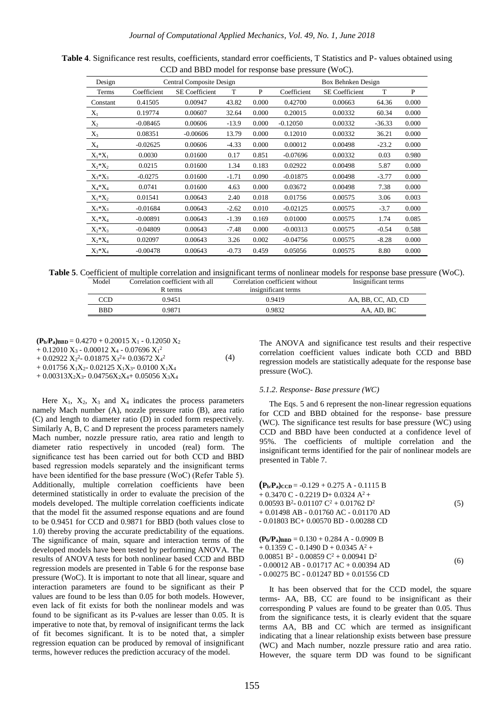| Design         |             | Central Composite Design |         |       | Box Behnken Design |                       |          |       |  |
|----------------|-------------|--------------------------|---------|-------|--------------------|-----------------------|----------|-------|--|
| Terms          | Coefficient | <b>SE</b> Coefficient    | T       | P     | Coefficient        | <b>SE</b> Coefficient | T        | P     |  |
| Constant       | 0.41505     | 0.00947                  | 43.82   | 0.000 | 0.42700            | 0.00663               | 64.36    | 0.000 |  |
| $X_1$          | 0.19774     | 0.00607                  | 32.64   | 0.000 | 0.20015            | 0.00332               | 60.34    | 0.000 |  |
| $\mathbf{X}_2$ | $-0.08465$  | 0.00606                  | $-13.9$ | 0.000 | $-0.12050$         | 0.00332               | $-36.33$ | 0.000 |  |
| $X_3$          | 0.08351     | $-0.00606$               | 13.79   | 0.000 | 0.12010            | 0.00332               | 36.21    | 0.000 |  |
| $X_4$          | $-0.02625$  | 0.00606                  | $-4.33$ | 0.000 | 0.00012            | 0.00498               | $-23.2$  | 0.000 |  |
| $X_1^*X_1$     | 0.0030      | 0.01600                  | 0.17    | 0.851 | $-0.07696$         | 0.00332               | 0.03     | 0.980 |  |
| $X_2^*X_2$     | 0.0215      | 0.01600                  | 1.34    | 0.183 | 0.02922            | 0.00498               | 5.87     | 0.000 |  |
| $X_3^*X_3$     | $-0.0275$   | 0.01600                  | $-1.71$ | 0.090 | $-0.01875$         | 0.00498               | $-3.77$  | 0.000 |  |
| $X_4^*X_4$     | 0.0741      | 0.01600                  | 4.63    | 0.000 | 0.03672            | 0.00498               | 7.38     | 0.000 |  |
| $X_1^*X_2$     | 0.01541     | 0.00643                  | 2.40    | 0.018 | 0.01756            | 0.00575               | 3.06     | 0.003 |  |
| $X_1^*X_3$     | $-0.01684$  | 0.00643                  | $-2.62$ | 0.010 | $-0.02125$         | 0.00575               | $-3.7$   | 0.000 |  |
| $X_1^*X_4$     | $-0.00891$  | 0.00643                  | $-1.39$ | 0.169 | 0.01000            | 0.00575               | 1.74     | 0.085 |  |
| $X_2^*X_3$     | $-0.04809$  | 0.00643                  | $-7.48$ | 0.000 | $-0.00313$         | 0.00575               | $-0.54$  | 0.588 |  |
| $X_2^*X_4$     | 0.02097     | 0.00643                  | 3.26    | 0.002 | $-0.04756$         | 0.00575               | $-8.28$  | 0.000 |  |
| $X_3^*X_4$     | $-0.00478$  | 0.00643                  | $-0.73$ | 0.459 | 0.05056            | 0.00575               | 8.80     | 0.000 |  |

**Table 4**. Significance rest results, coefficients, standard error coefficients, T Statistics and P- values obtained using CCD and BBD model for response base pressure (WoC).

**Table 5**. Coefficient of multiple correlation and insignificant terms of nonlinear models for response base pressure (WoC).

| Model      | Correlation coefficient with all<br>R terms | Correlation coefficient without<br>insignificant terms | Insignificant terms |
|------------|---------------------------------------------|--------------------------------------------------------|---------------------|
| CCD        | 0.9451                                      | 0.9419                                                 | AA, BB, CC, AD, CD  |
| <b>BBD</b> | 0.9871                                      | 0.9832                                                 | AA, AD, BC          |
|            |                                             |                                                        |                     |

(4)

 $({\bf P}_{\bf b}/{\bf P}_{\bf a})_{\bf BBD} = 0.4270 + 0.20015 \text{ X}_1 - 0.12050 \text{ X}_2$ 

 $+$  0.12010  $X_3$  - 0.00012  $X_4$  - 0.07696  $X_1^2$ 

 $+$  0.02922  $X_2^2$ - 0.01875  $X_3^2$ + 0.03672  $X_4^2$ 

+ 0.01756  $X_1X_2$ - 0.02125  $X_1X_3$ - 0.0100  $X_1X_4$ 

 $+ 0.00313X_2X_3 - 0.04756X_2X_4 + 0.05056X_3X_4$ 

Here  $X_1$ ,  $X_2$ ,  $X_3$  and  $X_4$  indicates the process parameters namely Mach number (A), nozzle pressure ratio (B), area ratio (C) and length to diameter ratio (D) in coded form respectively. Similarly A, B, C and D represent the process parameters namely Mach number, nozzle pressure ratio, area ratio and length to diameter ratio respectively in uncoded (real) form. The significance test has been carried out for both CCD and BBD based regression models separately and the insignificant terms have been identified for the base pressure (WoC) (Refer Table 5). Additionally, multiple correlation coefficients have been determined statistically in order to evaluate the precision of the models developed. The multiple correlation coefficients indicate that the model fit the assumed response equations and are found to be 0.9451 for CCD and 0.9871 for BBD (both values close to 1.0) thereby proving the accurate predictability of the equations. The significance of main, square and interaction terms of the developed models have been tested by performing ANOVA. The results of ANOVA tests for both nonlinear based CCD and BBD regression models are presented in Table 6 for the response base pressure (WoC). It is important to note that all linear, square and interaction parameters are found to be significant as their P values are found to be less than 0.05 for both models. However, even lack of fit exists for both the nonlinear models and was found to be significant as its P-values are lesser than 0.05. It is imperative to note that, by removal of insignificant terms the lack of fit becomes significant. It is to be noted that, a simpler regression equation can be produced by removal of insignificant terms, however reduces the prediction accuracy of the model.

The ANOVA and significance test results and their respective correlation coefficient values indicate both CCD and BBD regression models are statistically adequate for the response base pressure (WoC).

#### *5.1.2. Response- Base pressure (WC)*

The Eqs. 5 and 6 represent the non-linear regression equations for CCD and BBD obtained for the response- base pressure (WC). The significance test results for base pressure (WC) using CCD and BBD have been conducted at a confidence level of 95%. The coefficients of multiple correlation and the insignificant terms identified for the pair of nonlinear models are presented in Table 7.

| (5) |
|-----|
|     |
|     |
|     |

| $({\bf P_b}/{\bf P_a})_{\text{BBD}} = 0.130 + 0.284 \text{ A} - 0.0909 \text{ B}$ |     |
|-----------------------------------------------------------------------------------|-----|
| $+0.1359$ C - 0.1490 D + 0.0345 A <sup>2</sup> +                                  |     |
| $0.00851 B^2 - 0.00859 C^2 + 0.00941 D^2$                                         |     |
| $-0.00012$ AB $-0.01717$ AC $+0.00394$ AD                                         | (6) |
| $-0.00275$ BC $-0.01247$ BD $+0.01556$ CD                                         |     |

It has been observed that for the CCD model, the square terms- AA, BB, CC are found to be insignificant as their corresponding P values are found to be greater than 0.05. Thus from the significance tests, it is clearly evident that the square terms AA, BB and CC which are termed as insignificant indicating that a linear relationship exists between base pressure (WC) and Mach number, nozzle pressure ratio and area ratio. However, the square term DD was found to be significant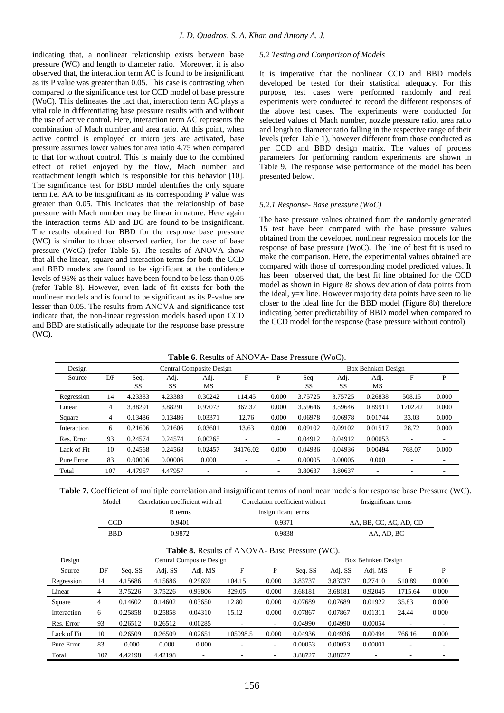indicating that, a nonlinear relationship exists between base pressure (WC) and length to diameter ratio. Moreover, it is also observed that, the interaction term AC is found to be insignificant as its P value was greater than 0.05. This case is contrasting when compared to the significance test for CCD model of base pressure (WoC). This delineates the fact that, interaction term AC plays a vital role in differentiating base pressure results with and without the use of active control. Here, interaction term AC represents the combination of Mach number and area ratio. At this point, when active control is employed or micro jets are activated, base pressure assumes lower values for area ratio 4.75 when compared to that for without control. This is mainly due to the combined effect of relief enjoyed by the flow, Mach number and reattachment length which is responsible for this behavior [10]. The significance test for BBD model identifies the only square term i.e. AA to be insignificant as its corresponding P value was greater than 0.05. This indicates that the relationship of base pressure with Mach number may be linear in nature. Here again the interaction terms AD and BC are found to be insignificant. The results obtained for BBD for the response base pressure (WC) is similar to those observed earlier, for the case of base pressure (WoC) (refer Table 5). The results of ANOVA show that all the linear, square and interaction terms for both the CCD and BBD models are found to be significant at the confidence levels of 95% as their values have been found to be less than 0.05 (refer Table 8). However, even lack of fit exists for both the nonlinear models and is found to be significant as its P-value are lesser than 0.05. The results from ANOVA and significance test indicate that, the non-linear regression models based upon CCD and BBD are statistically adequate for the response base pressure (WC).

#### *5.2 Testing and Comparison of Models*

It is imperative that the nonlinear CCD and BBD models developed be tested for their statistical adequacy. For this purpose, test cases were performed randomly and real experiments were conducted to record the different responses of the above test cases. The experiments were conducted for selected values of Mach number, nozzle pressure ratio, area ratio and length to diameter ratio falling in the respective range of their levels (refer Table 1), however different from those conducted as per CCD and BBD design matrix. The values of process parameters for performing random experiments are shown in Table 9. The response wise performance of the model has been presented below.

#### *5.2.1 Response- Base pressure (WoC)*

The base pressure values obtained from the randomly generated 15 test have been compared with the base pressure values obtained from the developed nonlinear regression models for the response of base pressure (WoC). The line of best fit is used to make the comparison. Here, the experimental values obtained are compared with those of corresponding model predicted values. It has been observed that, the best fit line obtained for the CCD model as shown in Figure 8a shows deviation of data points from the ideal,  $y=x$  line. However majority data points have seen to lie closer to the ideal line for the BBD model (Figure 8b) therefore indicating better predictability of BBD model when compared to the CCD model for the response (base pressure without control).

**Table 6**. Results of ANOVA- Base Pressure (WoC).

| Design      |     | Central Composite Design |            |                          |                          |                          | Box Behnken Design |            |                          |                          |                          |
|-------------|-----|--------------------------|------------|--------------------------|--------------------------|--------------------------|--------------------|------------|--------------------------|--------------------------|--------------------------|
| Source      | DF  | Seq.<br>SS               | Adj.<br>SS | Adj.<br>МS               | F                        | P                        | Seq.<br><b>SS</b>  | Adj.<br>SS | Adj.<br>МS               | F                        | P                        |
| Regression  | 14  | 4.23383                  | 4.23383    | 0.30242                  | 114.45                   | 0.000                    | 3.75725            | 3.75725    | 0.26838                  | 508.15                   | 0.000                    |
| Linear      | 4   | 3.88291                  | 3.88291    | 0.97073                  | 367.37                   | 0.000                    | 3.59646            | 3.59646    | 0.89911                  | 1702.42                  | 0.000                    |
| Square      | 4   | 0.13486                  | 0.13486    | 0.03371                  | 12.76                    | 0.000                    | 0.06978            | 0.06978    | 0.01744                  | 33.03                    | 0.000                    |
| Interaction | 6   | 0.21606                  | 0.21606    | 0.03601                  | 13.63                    | 0.000                    | 0.09102            | 0.09102    | 0.01517                  | 28.72                    | 0.000                    |
| Res. Error  | 93  | 0.24574                  | 0.24574    | 0.00265                  | ٠                        | $\overline{\phantom{a}}$ | 0.04912            | 0.04912    | 0.00053                  | $\overline{\phantom{a}}$ |                          |
| Lack of Fit | 10  | 0.24568                  | 0.24568    | 0.02457                  | 34176.02                 | 0.000                    | 0.04936            | 0.04936    | 0.00494                  | 768.07                   | 0.000                    |
| Pure Error  | 83  | 0.00006                  | 0.00006    | 0.000                    |                          | $\overline{\phantom{0}}$ | 0.00005            | 0.00005    | 0.000                    | ۰                        | $\overline{\phantom{a}}$ |
| Total       | 107 | 4.47957                  | 4.47957    | $\overline{\phantom{a}}$ | $\overline{\phantom{a}}$ | $\overline{\phantom{a}}$ | 3.80637            | 3.80637    | $\overline{\phantom{0}}$ |                          | $\overline{\phantom{a}}$ |

**Table 7.** Coefficient of multiple correlation and insignificant terms of nonlinear models for response base Pressure (WC).

| Model      | Correlation coefficient with all | Correlation coefficient without | Insignificant terms    |
|------------|----------------------------------|---------------------------------|------------------------|
|            | R terms                          | insignificant terms             |                        |
| CCD        | 0.9401                           | 0.9371                          | AA, BB, CC, AC, AD, CD |
| <b>BBD</b> | 0.9872                           | 0.9838                          | AA. AD. BC             |
|            |                                  |                                 |                        |

|             | <b>Table 8.</b> Results of ANOVA- Base Pressure (WC). |         |         |                                 |          |                          |         |         |                    |         |                          |
|-------------|-------------------------------------------------------|---------|---------|---------------------------------|----------|--------------------------|---------|---------|--------------------|---------|--------------------------|
| Design      |                                                       |         |         | <b>Central Composite Design</b> |          |                          |         |         | Box Behnken Design |         |                          |
| Source      | DF                                                    | Seq. SS | Adj. SS | Adj. MS                         | F        | P                        | Seq. SS | Adj. SS | Adj. MS            | F       | P                        |
| Regression  | 14                                                    | 4.15686 | 4.15686 | 0.29692                         | 104.15   | 0.000                    | 3.83737 | 3.83737 | 0.27410            | 510.89  | 0.000                    |
| Linear      | 4                                                     | 3.75226 | 3.75226 | 0.93806                         | 329.05   | 0.000                    | 3.68181 | 3.68181 | 0.92045            | 1715.64 | 0.000                    |
| Square      | 4                                                     | 0.14602 | 0.14602 | 0.03650                         | 12.80    | 0.000                    | 0.07689 | 0.07689 | 0.01922            | 35.83   | 0.000                    |
| Interaction | 6                                                     | 0.25858 | 0.25858 | 0.04310                         | 15.12    | 0.000                    | 0.07867 | 0.07867 | 0.01311            | 24.44   | 0.000                    |
| Res. Error  | 93                                                    | 0.26512 | 0.26512 | 0.00285                         |          | $\overline{\phantom{a}}$ | 0.04990 | 0.04990 | 0.00054            |         | ۰.                       |
| Lack of Fit | 10                                                    | 0.26509 | 0.26509 | 0.02651                         | 105098.5 | 0.000                    | 0.04936 | 0.04936 | 0.00494            | 766.16  | 0.000                    |
| Pure Error  | 83                                                    | 0.000   | 0.000   | 0.000                           |          | ۰                        | 0.00053 | 0.00053 | 0.00001            |         | $\overline{\phantom{a}}$ |
| Total       | 107                                                   | 4.42198 | 4.42198 | ٠                               | ۰        |                          | 3.88727 | 3.88727 |                    |         |                          |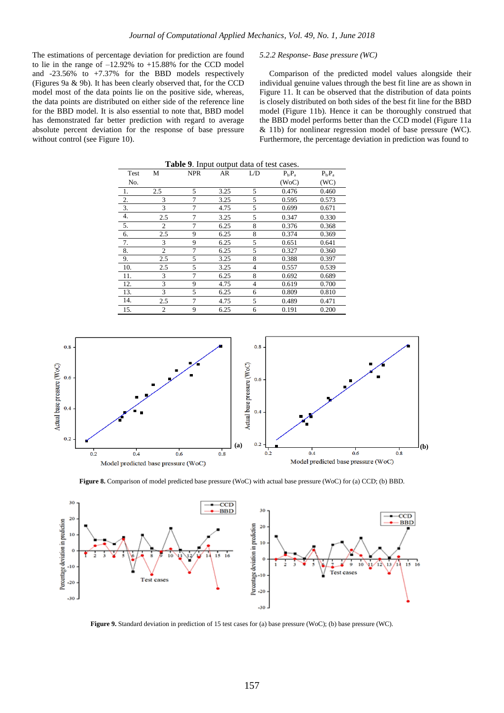The estimations of percentage deviation for prediction are found to lie in the range of  $-12.92\%$  to  $+15.88\%$  for the CCD model and -23.56% to +7.37% for the BBD models respectively (Figures 9a & 9b). It has been clearly observed that, for the CCD model most of the data points lie on the positive side, whereas, the data points are distributed on either side of the reference line for the BBD model. It is also essential to note that, BBD model has demonstrated far better prediction with regard to average absolute percent deviation for the response of base pressure without control (see Figure 10).

#### *5.2.2 Response- Base pressure (WC)*

Comparison of the predicted model values alongside their individual genuine values through the best fit line are as shown in Figure 11. It can be observed that the distribution of data points is closely distributed on both sides of the best fit line for the BBD model (Figure 11b). Hence it can be thoroughly construed that the BBD model performs better than the CCD model (Figure 11a & 11b) for nonlinear regression model of base pressure (WC). Furthermore, the percentage deviation in prediction was found to

|                  | <b>Table 9.</b> Input output data of test cases. |                |      |                |          |           |  |  |  |  |
|------------------|--------------------------------------------------|----------------|------|----------------|----------|-----------|--|--|--|--|
| Test             | М                                                | <b>NPR</b>     | AR   | L/D            | $P_hP_a$ | $P_b/P_a$ |  |  |  |  |
| No.              |                                                  |                |      |                | (WoC)    | (WC)      |  |  |  |  |
| -1.              | 2.5                                              | 5              | 3.25 | 5              | 0.476    | 0.460     |  |  |  |  |
| 2.               | 3                                                | $\overline{7}$ | 3.25 | 5              | 0.595    | 0.573     |  |  |  |  |
| $\overline{3}$ . | 3                                                | $\overline{7}$ | 4.75 | 5              | 0.699    | 0.671     |  |  |  |  |
| 4.               | 2.5                                              | 7              | 3.25 | 5              | 0.347    | 0.330     |  |  |  |  |
| 5.               | $\mathfrak{2}$                                   | 7              | 6.25 | 8              | 0.376    | 0.368     |  |  |  |  |
| 6.               | 2.5                                              | 9              | 6.25 | 8              | 0.374    | 0.369     |  |  |  |  |
| 7.               | 3                                                | 9              | 6.25 | 5              | 0.651    | 0.641     |  |  |  |  |
| 8.               | $\overline{c}$                                   | 7              | 6.25 | 5              | 0.327    | 0.360     |  |  |  |  |
| 9.               | 2.5                                              | 5              | 3.25 | 8              | 0.388    | 0.397     |  |  |  |  |
| 10.              | 2.5                                              | 5              | 3.25 | $\overline{4}$ | 0.557    | 0.539     |  |  |  |  |
| 11.              | 3                                                | 7              | 6.25 | 8              | 0.692    | 0.689     |  |  |  |  |
| 12.              | 3                                                | 9              | 4.75 | $\overline{4}$ | 0.619    | 0.700     |  |  |  |  |
| 13.              | 3                                                | 5              | 6.25 | 6              | 0.809    | 0.810     |  |  |  |  |
| 14.              | 2.5                                              | 7              | 4.75 | 5              | 0.489    | 0.471     |  |  |  |  |
| 15.              | $\overline{c}$                                   | 9              | 6.25 | 6              | 0.191    | 0.200     |  |  |  |  |



**Figure 8.** Comparison of model predicted base pressure (WoC) with actual base pressure (WoC) for (a) CCD; (b) BBD.



**Figure 9.** Standard deviation in prediction of 15 test cases for (a) base pressure (WoC); (b) base pressure (WC).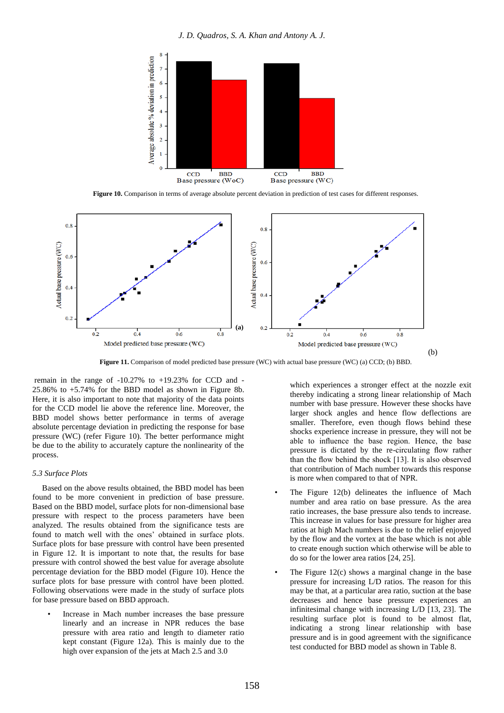

**Figure 10.** Comparison in terms of average absolute percent deviation in prediction of test cases for different responses.



**Figure 11.** Comparison of model predicted base pressure (WC) with actual base pressure (WC) (a) CCD; (b) BBD.

remain in the range of  $-10.27\%$  to  $+19.23\%$  for CCD and  $-$ 25.86% to +5.74% for the BBD model as shown in Figure 8b. Here, it is also important to note that majority of the data points for the CCD model lie above the reference line. Moreover, the BBD model shows better performance in terms of average absolute percentage deviation in predicting the response for base pressure (WC) (refer Figure 10). The better performance might be due to the ability to accurately capture the nonlinearity of the process.

#### *5.3 Surface Plots*

Based on the above results obtained, the BBD model has been found to be more convenient in prediction of base pressure. Based on the BBD model, surface plots for non-dimensional base pressure with respect to the process parameters have been analyzed. The results obtained from the significance tests are found to match well with the ones' obtained in surface plots. Surface plots for base pressure with control have been presented in Figure 12. It is important to note that, the results for base pressure with control showed the best value for average absolute percentage deviation for the BBD model (Figure 10). Hence the surface plots for base pressure with control have been plotted. Following observations were made in the study of surface plots for base pressure based on BBD approach.

Increase in Mach number increases the base pressure linearly and an increase in NPR reduces the base pressure with area ratio and length to diameter ratio kept constant (Figure 12a). This is mainly due to the high over expansion of the jets at Mach 2.5 and 3.0

which experiences a stronger effect at the nozzle exit thereby indicating a strong linear relationship of Mach number with base pressure. However these shocks have larger shock angles and hence flow deflections are smaller. Therefore, even though flows behind these shocks experience increase in pressure, they will not be able to influence the base region. Hence, the base pressure is dictated by the re-circulating flow rather than the flow behind the shock [13]. It is also observed that contribution of Mach number towards this response is more when compared to that of NPR.

- The Figure 12(b) delineates the influence of Mach number and area ratio on base pressure. As the area ratio increases, the base pressure also tends to increase. This increase in values for base pressure for higher area ratios at high Mach numbers is due to the relief enjoyed by the flow and the vortex at the base which is not able to create enough suction which otherwise will be able to do so for the lower area ratios [24, 25].
- The Figure  $12(c)$  shows a marginal change in the base pressure for increasing L/D ratios. The reason for this may be that, at a particular area ratio, suction at the base decreases and hence base pressure experiences an infinitesimal change with increasing L/D [13, 23]. The resulting surface plot is found to be almost flat, indicating a strong linear relationship with base pressure and is in good agreement with the significance test conducted for BBD model as shown in Table 8.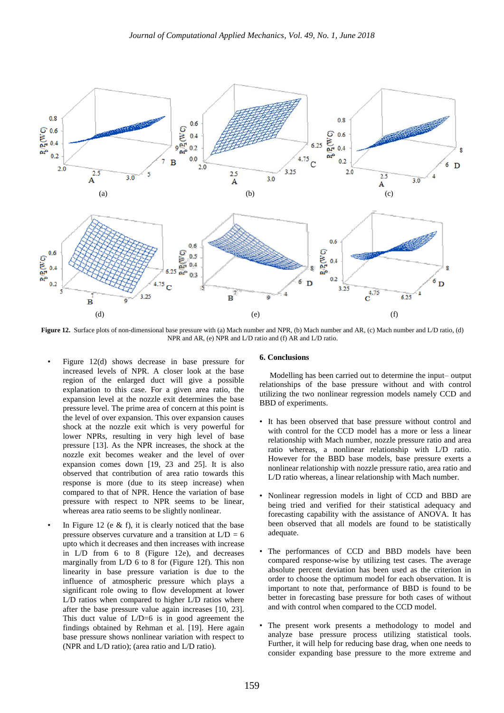

**Figure 12.** Surface plots of non-dimensional base pressure with (a) Mach number and NPR, (b) Mach number and AR, (c) Mach number and L/D ratio, (d) NPR and AR, (e) NPR and L/D ratio and (f) AR and L/D ratio.

- Figure 12(d) shows decrease in base pressure for increased levels of NPR. A closer look at the base region of the enlarged duct will give a possible explanation to this case. For a given area ratio, the expansion level at the nozzle exit determines the base pressure level. The prime area of concern at this point is the level of over expansion. This over expansion causes shock at the nozzle exit which is very powerful for lower NPRs, resulting in very high level of base pressure [13]. As the NPR increases, the shock at the nozzle exit becomes weaker and the level of over expansion comes down [19, 23 and 25]. It is also observed that contribution of area ratio towards this response is more (due to its steep increase) when compared to that of NPR. Hence the variation of base pressure with respect to NPR seems to be linear, whereas area ratio seems to be slightly nonlinear.
- In Figure 12 (e  $&$  f), it is clearly noticed that the base pressure observes curvature and a transition at  $L/D = 6$ upto which it decreases and then increases with increase in L/D from 6 to 8 (Figure 12e), and decreases marginally from L/D 6 to 8 for (Figure 12f). This non linearity in base pressure variation is due to the influence of atmospheric pressure which plays a significant role owing to flow development at lower L/D ratios when compared to higher L/D ratios where after the base pressure value again increases [10, 23]. This duct value of L/D=6 is in good agreement the findings obtained by Rehman et al. [19]. Here again base pressure shows nonlinear variation with respect to (NPR and L/D ratio); (area ratio and L/D ratio).

#### **6. Conclusions**

 Modelling has been carried out to determine the input– output relationships of the base pressure without and with control utilizing the two nonlinear regression models namely CCD and BBD of experiments.

- It has been observed that base pressure without control and with control for the CCD model has a more or less a linear relationship with Mach number, nozzle pressure ratio and area ratio whereas, a nonlinear relationship with L/D ratio. However for the BBD base models, base pressure exerts a nonlinear relationship with nozzle pressure ratio, area ratio and L/D ratio whereas, a linear relationship with Mach number.
- Nonlinear regression models in light of CCD and BBD are being tried and verified for their statistical adequacy and forecasting capability with the assistance of ANOVA. It has been observed that all models are found to be statistically adequate.
- The performances of CCD and BBD models have been compared response-wise by utilizing test cases. The average absolute percent deviation has been used as the criterion in order to choose the optimum model for each observation. It is important to note that, performance of BBD is found to be better in forecasting base pressure for both cases of without and with control when compared to the CCD model.
- The present work presents a methodology to model and analyze base pressure process utilizing statistical tools. Further, it will help for reducing base drag, when one needs to consider expanding base pressure to the more extreme and